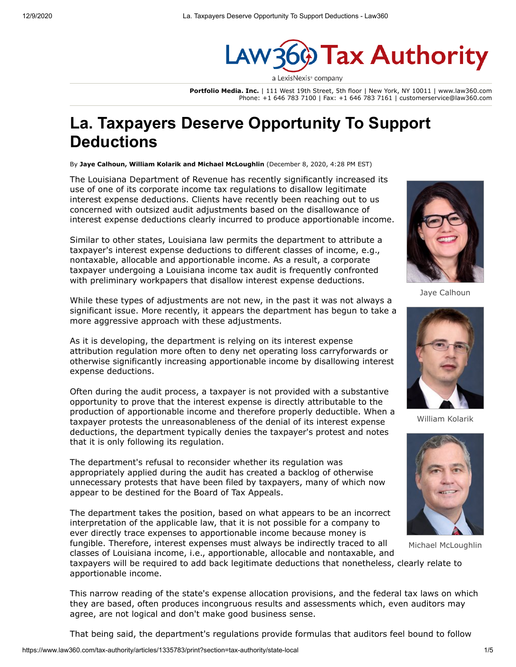

**Portfolio Media. Inc.** | 111 West 19th Street, 5th floor | New York, NY 10011 | www.law360.com Phone: +1 646 783 7100 | Fax: +1 646 783 7161 | customerservice@law360.com

# **La. Taxpayers Deserve Opportunity To Support Deductions**

By **Jaye Calhoun, William Kolarik and Michael McLoughlin** (December 8, 2020, 4:28 PM EST)

The [Louisiana Department of Revenue](https://www.law360.com/agencies/louisiana-department-of-revenue) has recently significantly increased its use of one of its corporate income tax regulations to disallow legitimate interest expense deductions. Clients have recently been reaching out to us concerned with outsized audit adjustments based on the disallowance of interest expense deductions clearly incurred to produce apportionable income.

Similar to other states, Louisiana law permits the department to attribute a taxpayer's interest expense deductions to different classes of income, e.g., nontaxable, allocable and apportionable income. As a result, a corporate taxpayer undergoing a Louisiana income tax audit is frequently confronted with preliminary workpapers that disallow interest expense deductions.

While these types of adjustments are not new, in the past it was not always a significant issue. More recently, it appears the department has begun to take a more aggressive approach with these adjustments.

As it is developing, the department is relying on its interest expense attribution regulation more often to deny net operating loss carryforwards or otherwise significantly increasing apportionable income by disallowing interest expense deductions.

Often during the audit process, a taxpayer is not provided with a substantive opportunity to prove that the interest expense is directly attributable to the production of apportionable income and therefore properly deductible. When a taxpayer protests the unreasonableness of the denial of its interest expense deductions, the department typically denies the taxpayer's protest and notes that it is only following its regulation.

The department's refusal to reconsider whether its regulation was appropriately applied during the audit has created a backlog of otherwise unnecessary protests that have been filed by taxpayers, many of which now appear to be destined for the Board of Tax Appeals.

The department takes the position, based on what appears to be an incorrect interpretation of the applicable law, that it is not possible for a company to ever directly trace expenses to apportionable income because money is fungible. Therefore, interest expenses must always be indirectly traced to all



Jaye Calhoun



William Kolarik



Michael McLoughlin

classes of Louisiana income, i.e., apportionable, allocable and nontaxable, and taxpayers will be required to add back legitimate deductions that nonetheless, clearly relate to apportionable income.

This narrow reading of the state's expense allocation provisions, and the federal tax laws on which they are based, often produces incongruous results and assessments which, even auditors may agree, are not logical and don't make good business sense.

That being said, the department's regulations provide formulas that auditors feel bound to follow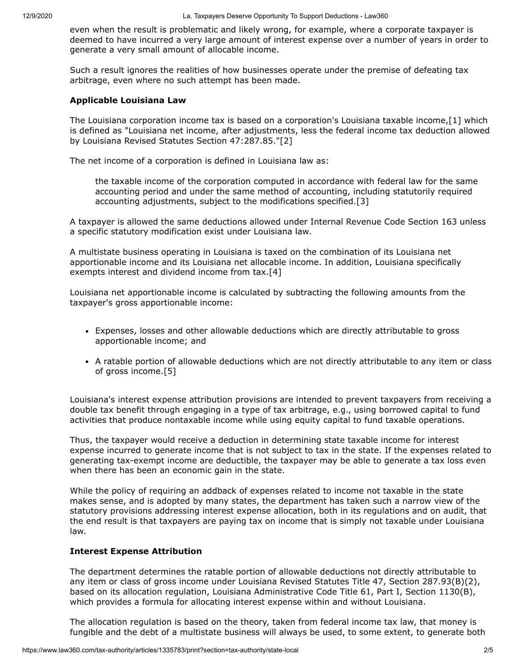even when the result is problematic and likely wrong, for example, where a corporate taxpayer is deemed to have incurred a very large amount of interest expense over a number of years in order to generate a very small amount of allocable income.

Such a result ignores the realities of how businesses operate under the premise of defeating tax arbitrage, even where no such attempt has been made.

#### **Applicable Louisiana Law**

The Louisiana corporation income tax is based on a corporation's Louisiana taxable income,[1] which is defined as "Louisiana net income, after adjustments, less the federal income tax deduction allowed by Louisiana Revised Statutes Section 47:287.85."[2]

The net income of a corporation is defined in Louisiana law as:

the taxable income of the corporation computed in accordance with federal law for the same accounting period and under the same method of accounting, including statutorily required accounting adjustments, subject to the modifications specified.[3]

A taxpayer is allowed the same deductions allowed under Internal Revenue Code Section 163 unless a specific statutory modification exist under Louisiana law.

A multistate business operating in Louisiana is taxed on the combination of its Louisiana net apportionable income and its Louisiana net allocable income. In addition, Louisiana specifically exempts interest and dividend income from tax.[4]

Louisiana net apportionable income is calculated by subtracting the following amounts from the taxpayer's gross apportionable income:

- Expenses, losses and other allowable deductions which are directly attributable to gross apportionable income; and
- A ratable portion of allowable deductions which are not directly attributable to any item or class of gross income.[5]

Louisiana's interest expense attribution provisions are intended to prevent taxpayers from receiving a double tax benefit through engaging in a type of tax arbitrage, e.g., using borrowed capital to fund activities that produce nontaxable income while using equity capital to fund taxable operations.

Thus, the taxpayer would receive a deduction in determining state taxable income for interest expense incurred to generate income that is not subject to tax in the state. If the expenses related to generating tax-exempt income are deductible, the taxpayer may be able to generate a tax loss even when there has been an economic gain in the state.

While the policy of requiring an addback of expenses related to income not taxable in the state makes sense, and is adopted by many states, the department has taken such a narrow view of the statutory provisions addressing interest expense allocation, both in its regulations and on audit, that the end result is that taxpayers are paying tax on income that is simply not taxable under Louisiana law.

## **Interest Expense Attribution**

The department determines the ratable portion of allowable deductions not directly attributable to any item or class of gross income under Louisiana Revised Statutes Title 47, Section 287.93(B)(2), based on its allocation regulation, Louisiana Administrative Code Title 61, Part I, Section 1130(B), which provides a formula for allocating interest expense within and without Louisiana.

The allocation regulation is based on the theory, taken from federal income tax law, that money is fungible and the debt of a multistate business will always be used, to some extent, to generate both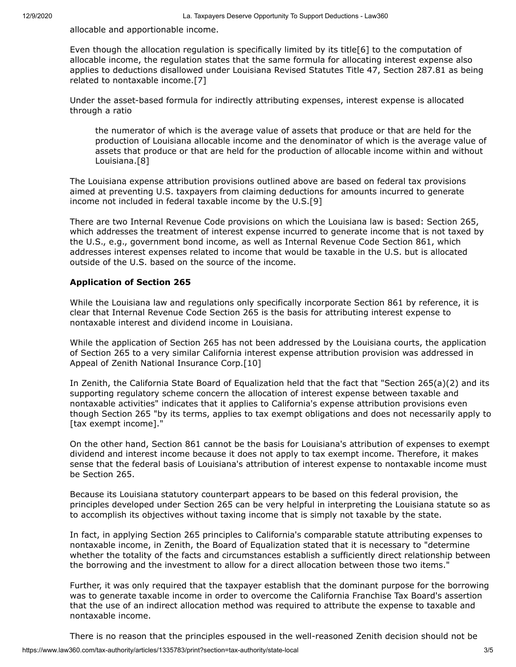allocable and apportionable income.

Even though the allocation regulation is specifically limited by its title[6] to the computation of allocable income, the regulation states that the same formula for allocating interest expense also applies to deductions disallowed under Louisiana Revised Statutes Title 47, Section 287.81 as being related to nontaxable income.[7]

Under the asset-based formula for indirectly attributing expenses, interest expense is allocated through a ratio

the numerator of which is the average value of assets that produce or that are held for the production of Louisiana allocable income and the denominator of which is the average value of assets that produce or that are held for the production of allocable income within and without Louisiana.[8]

The Louisiana expense attribution provisions outlined above are based on federal tax provisions aimed at preventing U.S. taxpayers from claiming deductions for amounts incurred to generate income not included in federal taxable income by the U.S.[9]

There are two Internal Revenue Code provisions on which the Louisiana law is based: Section 265, which addresses the treatment of interest expense incurred to generate income that is not taxed by the U.S., e.g., government bond income, as well as Internal Revenue Code Section 861, which addresses interest expenses related to income that would be taxable in the U.S. but is allocated outside of the U.S. based on the source of the income.

# **Application of Section 265**

While the Louisiana law and regulations only specifically incorporate Section 861 by reference, it is clear that Internal Revenue Code Section 265 is the basis for attributing interest expense to nontaxable interest and dividend income in Louisiana.

While the application of Section 265 has not been addressed by the Louisiana courts, the application of Section 265 to a very similar California interest expense attribution provision was addressed in Appeal of [Zenith National Insurance Corp.](https://www.law360.com/companies/zenith-national-insurance-corp)[10]

In Zenith, the [California State Board of Equalization](https://www.law360.com/agencies/california-state-board-of-equalization) held that the fact that "Section 265(a)(2) and its supporting regulatory scheme concern the allocation of interest expense between taxable and nontaxable activities" indicates that it applies to California's expense attribution provisions even though Section 265 "by its terms, applies to tax exempt obligations and does not necessarily apply to [tax exempt income]."

On the other hand, Section 861 cannot be the basis for Louisiana's attribution of expenses to exempt dividend and interest income because it does not apply to tax exempt income. Therefore, it makes sense that the federal basis of Louisiana's attribution of interest expense to nontaxable income must be Section 265.

Because its Louisiana statutory counterpart appears to be based on this federal provision, the principles developed under Section 265 can be very helpful in interpreting the Louisiana statute so as to accomplish its objectives without taxing income that is simply not taxable by the state.

In fact, in applying Section 265 principles to California's comparable statute attributing expenses to nontaxable income, in Zenith, the Board of Equalization stated that it is necessary to "determine whether the totality of the facts and circumstances establish a sufficiently direct relationship between the borrowing and the investment to allow for a direct allocation between those two items."

Further, it was only required that the taxpayer establish that the dominant purpose for the borrowing was to generate taxable income in order to overcome the [California Franchise Tax Board](https://www.law360.com/agencies/california-franchise-tax-board)'s assertion that the use of an indirect allocation method was required to attribute the expense to taxable and nontaxable income.

There is no reason that the principles espoused in the well-reasoned Zenith decision should not be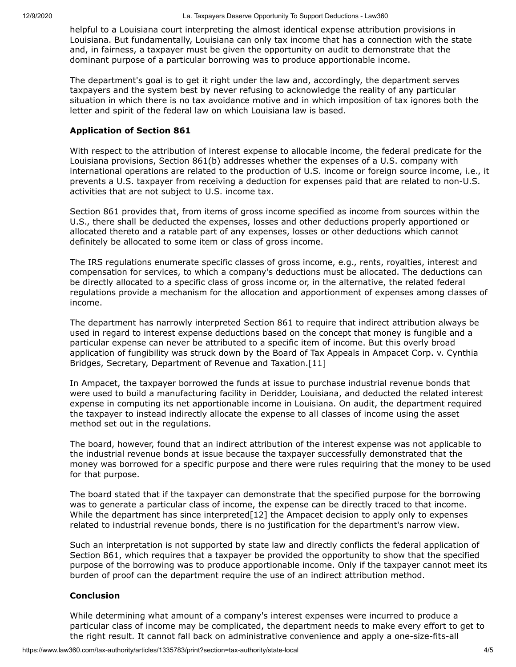helpful to a Louisiana court interpreting the almost identical expense attribution provisions in Louisiana. But fundamentally, Louisiana can only tax income that has a connection with the state and, in fairness, a taxpayer must be given the opportunity on audit to demonstrate that the dominant purpose of a particular borrowing was to produce apportionable income.

The department's goal is to get it right under the law and, accordingly, the department serves taxpayers and the system best by never refusing to acknowledge the reality of any particular situation in which there is no tax avoidance motive and in which imposition of tax ignores both the letter and spirit of the federal law on which Louisiana law is based.

### **Application of Section 861**

With respect to the attribution of interest expense to allocable income, the federal predicate for the Louisiana provisions, Section 861(b) addresses whether the expenses of a U.S. company with international operations are related to the production of U.S. income or foreign source income, i.e., it prevents a U.S. taxpayer from receiving a deduction for expenses paid that are related to non-U.S. activities that are not subject to U.S. income tax.

Section 861 provides that, from items of gross income specified as income from sources within the U.S., there shall be deducted the expenses, losses and other deductions properly apportioned or allocated thereto and a ratable part of any expenses, losses or other deductions which cannot definitely be allocated to some item or class of gross income.

The [IRS](https://www.law360.com/agencies/internal-revenue-service) regulations enumerate specific classes of gross income, e.g., rents, royalties, interest and compensation for services, to which a company's deductions must be allocated. The deductions can be directly allocated to a specific class of gross income or, in the alternative, the related federal regulations provide a mechanism for the allocation and apportionment of expenses among classes of income.

The department has narrowly interpreted Section 861 to require that indirect attribution always be used in regard to interest expense deductions based on the concept that money is fungible and a particular expense can never be attributed to a specific item of income. But this overly broad application of fungibility was struck down by the Board of Tax Appeals in [Ampacet Corp](https://www.law360.com/companies/ampacet-corp). v. Cynthia Bridges, Secretary, Department of Revenue and Taxation.[11]

In Ampacet, the taxpayer borrowed the funds at issue to purchase industrial revenue bonds that were used to build a manufacturing facility in Deridder, Louisiana, and deducted the related interest expense in computing its net apportionable income in Louisiana. On audit, the department required the taxpayer to instead indirectly allocate the expense to all classes of income using the asset method set out in the regulations.

The board, however, found that an indirect attribution of the interest expense was not applicable to the industrial revenue bonds at issue because the taxpayer successfully demonstrated that the money was borrowed for a specific purpose and there were rules requiring that the money to be used for that purpose.

The board stated that if the taxpayer can demonstrate that the specified purpose for the borrowing was to generate a particular class of income, the expense can be directly traced to that income. While the department has since interpreted [12] the Ampacet decision to apply only to expenses related to industrial revenue bonds, there is no justification for the department's narrow view.

Such an interpretation is not supported by state law and directly conflicts the federal application of Section 861, which requires that a taxpayer be provided the opportunity to show that the specified purpose of the borrowing was to produce apportionable income. Only if the taxpayer cannot meet its burden of proof can the department require the use of an indirect attribution method.

## **Conclusion**

While determining what amount of a company's interest expenses were incurred to produce a particular class of income may be complicated, the department needs to make every effort to get to the right result. It cannot fall back on administrative convenience and apply a one-size-fits-all